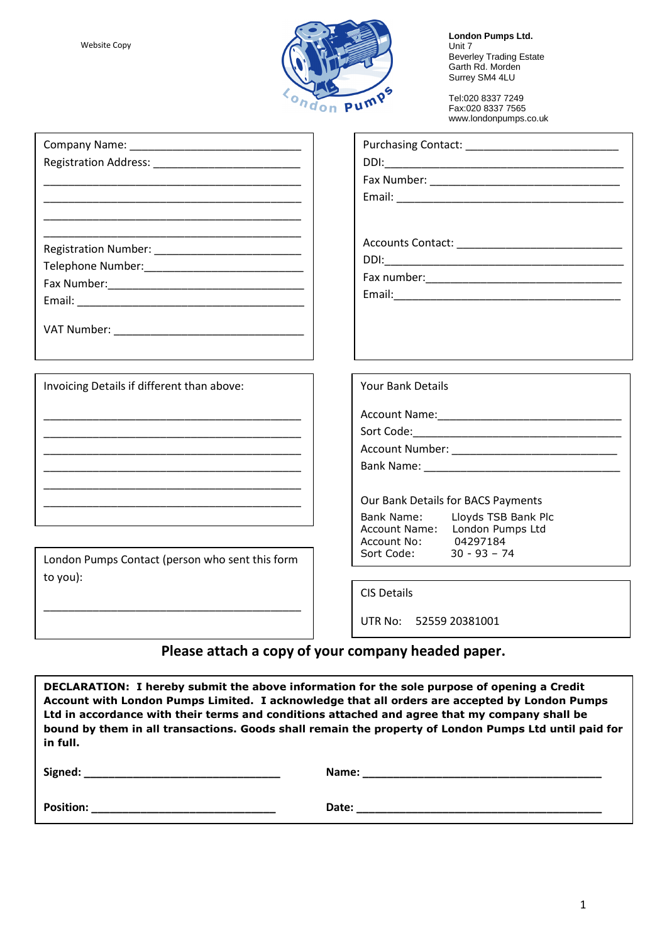

**London Pumps Ltd.** Unit 7 Beverley Trading Estate Garth Rd. Morden Surrey SM4 4LU

Tel:020 8337 7249 Fax:020 8337 7565 www.londonpumps.co.uk

| Company Name: __________________________________ |                                                           |
|--------------------------------------------------|-----------------------------------------------------------|
|                                                  |                                                           |
|                                                  |                                                           |
|                                                  |                                                           |
|                                                  |                                                           |
|                                                  |                                                           |
|                                                  |                                                           |
|                                                  |                                                           |
|                                                  |                                                           |
|                                                  |                                                           |
|                                                  |                                                           |
|                                                  |                                                           |
|                                                  |                                                           |
|                                                  |                                                           |
| Invoicing Details if different than above:       | <b>Your Bank Details</b>                                  |
|                                                  |                                                           |
|                                                  |                                                           |
|                                                  |                                                           |
|                                                  |                                                           |
|                                                  |                                                           |
|                                                  | Our Bank Details for BACS Payments                        |
|                                                  | Bank Name: Lloyds TSB Bank Plc                            |
|                                                  | Account Name: London Pumps Ltd<br>04297184<br>Account No: |
| London Pumps Contact (person who sent this form  | Sort Code:<br>$30 - 93 - 74$                              |
| to you):                                         |                                                           |
|                                                  | <b>CIS Details</b>                                        |
|                                                  |                                                           |
|                                                  | UTR No: 52559 20381001                                    |
|                                                  |                                                           |

# **Please attach a copy of your company headed paper.**

**DECLARATION: I hereby submit the above information for the sole purpose of opening a Credit Account with London Pumps Limited. I acknowledge that all orders are accepted by London Pumps Ltd in accordance with their terms and conditions attached and agree that my company shall be bound by them in all transactions. Goods shall remain the property of London Pumps Ltd until paid for in full.** 

| Signed:          | Name: |
|------------------|-------|
| <b>Position:</b> | Date: |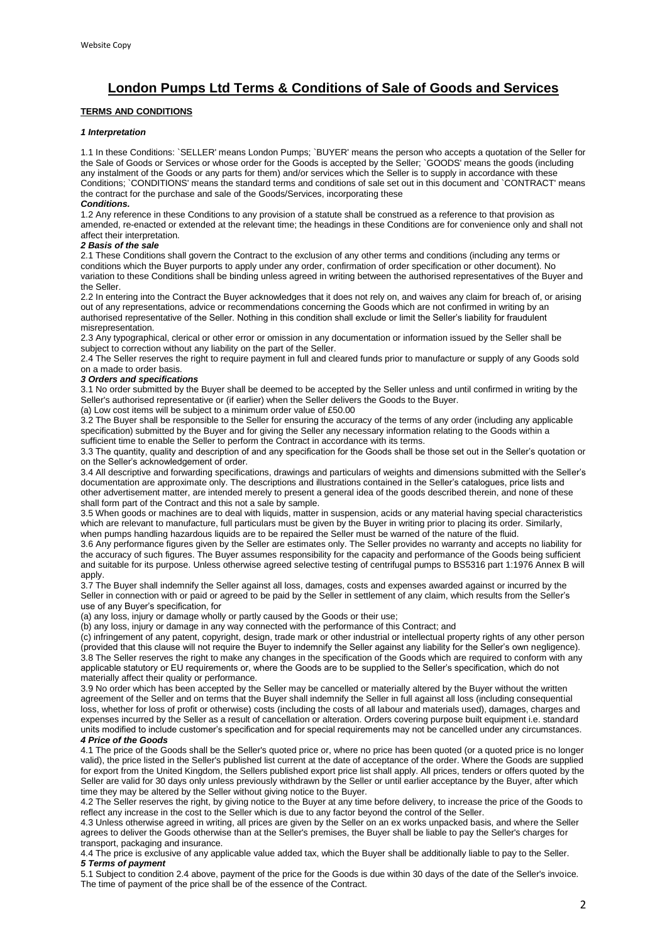## **London Pumps Ltd Terms & Conditions of Sale of Goods and Services**

## **TERMS AND CONDITIONS**

## *1 Interpretation*

1.1 In these Conditions: `SELLER' means London Pumps; `BUYER' means the person who accepts a quotation of the Seller for the Sale of Goods or Services or whose order for the Goods is accepted by the Seller; `GOODS' means the goods (including any instalment of the Goods or any parts for them) and/or services which the Seller is to supply in accordance with these Conditions; `CONDITIONS' means the standard terms and conditions of sale set out in this document and `CONTRACT' means the contract for the purchase and sale of the Goods/Services, incorporating these

#### *Conditions.*

1.2 Any reference in these Conditions to any provision of a statute shall be construed as a reference to that provision as amended, re-enacted or extended at the relevant time; the headings in these Conditions are for convenience only and shall not affect their interpretation.

## *2 Basis of the sale*

2.1 These Conditions shall govern the Contract to the exclusion of any other terms and conditions (including any terms or conditions which the Buyer purports to apply under any order, confirmation of order specification or other document). No variation to these Conditions shall be binding unless agreed in writing between the authorised representatives of the Buyer and the Seller.

2.2 In entering into the Contract the Buyer acknowledges that it does not rely on, and waives any claim for breach of, or arising out of any representations, advice or recommendations concerning the Goods which are not confirmed in writing by an authorised representative of the Seller. Nothing in this condition shall exclude or limit the Seller's liability for fraudulent misrepresentation.

2.3 Any typographical, clerical or other error or omission in any documentation or information issued by the Seller shall be subject to correction without any liability on the part of the Seller.

2.4 The Seller reserves the right to require payment in full and cleared funds prior to manufacture or supply of any Goods sold on a made to order basis.

#### *3 Orders and specifications*

3.1 No order submitted by the Buyer shall be deemed to be accepted by the Seller unless and until confirmed in writing by the Seller's authorised representative or (if earlier) when the Seller delivers the Goods to the Buyer.

(a) Low cost items will be subject to a minimum order value of £50.00

3.2 The Buyer shall be responsible to the Seller for ensuring the accuracy of the terms of any order (including any applicable specification) submitted by the Buyer and for giving the Seller any necessary information relating to the Goods within a sufficient time to enable the Seller to perform the Contract in accordance with its terms.

3.3 The quantity, quality and description of and any specification for the Goods shall be those set out in the Seller's quotation or on the Seller's acknowledgement of order.

3.4 All descriptive and forwarding specifications, drawings and particulars of weights and dimensions submitted with the Seller's documentation are approximate only. The descriptions and illustrations contained in the Seller's catalogues, price lists and other advertisement matter, are intended merely to present a general idea of the goods described therein, and none of these shall form part of the Contract and this not a sale by sample.

3.5 When goods or machines are to deal with liquids, matter in suspension, acids or any material having special characteristics which are relevant to manufacture, full particulars must be given by the Buyer in writing prior to placing its order. Similarly, when pumps handling hazardous liquids are to be repaired the Seller must be warned of the nature of the fluid.

3.6 Any performance figures given by the Seller are estimates only. The Seller provides no warranty and accepts no liability for the accuracy of such figures. The Buyer assumes responsibility for the capacity and performance of the Goods being sufficient and suitable for its purpose. Unless otherwise agreed selective testing of centrifugal pumps to BS5316 part 1:1976 Annex B will apply.

3.7 The Buyer shall indemnify the Seller against all loss, damages, costs and expenses awarded against or incurred by the Seller in connection with or paid or agreed to be paid by the Seller in settlement of any claim, which results from the Seller's use of any Buyer's specification, for

(a) any loss, injury or damage wholly or partly caused by the Goods or their use;

(b) any loss, injury or damage in any way connected with the performance of this Contract; and

(c) infringement of any patent, copyright, design, trade mark or other industrial or intellectual property rights of any other person (provided that this clause will not require the Buyer to indemnify the Seller against any liability for the Seller's own negligence). 3.8 The Seller reserves the right to make any changes in the specification of the Goods which are required to conform with any applicable statutory or EU requirements or, where the Goods are to be supplied to the Seller's specification, which do not materially affect their quality or performance.

3.9 No order which has been accepted by the Seller may be cancelled or materially altered by the Buyer without the written agreement of the Seller and on terms that the Buyer shall indemnify the Seller in full against all loss (including consequential loss, whether for loss of profit or otherwise) costs (including the costs of all labour and materials used), damages, charges and expenses incurred by the Seller as a result of cancellation or alteration. Orders covering purpose built equipment i.e. standard units modified to include customer's specification and for special requirements may not be cancelled under any circumstances. *4 Price of the Goods* 

4.1 The price of the Goods shall be the Seller's quoted price or, where no price has been quoted (or a quoted price is no longer valid), the price listed in the Seller's published list current at the date of acceptance of the order. Where the Goods are supplied for export from the United Kingdom, the Sellers published export price list shall apply. All prices, tenders or offers quoted by the Seller are valid for 30 days only unless previously withdrawn by the Seller or until earlier acceptance by the Buyer, after which time they may be altered by the Seller without giving notice to the Buyer.

4.2 The Seller reserves the right, by giving notice to the Buyer at any time before delivery, to increase the price of the Goods to reflect any increase in the cost to the Seller which is due to any factor beyond the control of the Seller.

4.3 Unless otherwise agreed in writing, all prices are given by the Seller on an ex works unpacked basis, and where the Seller agrees to deliver the Goods otherwise than at the Seller's premises, the Buyer shall be liable to pay the Seller's charges for transport, packaging and insurance.

4.4 The price is exclusive of any applicable value added tax, which the Buyer shall be additionally liable to pay to the Seller. *5 Terms of payment* 

5.1 Subject to condition 2.4 above, payment of the price for the Goods is due within 30 days of the date of the Seller's invoice. The time of payment of the price shall be of the essence of the Contract.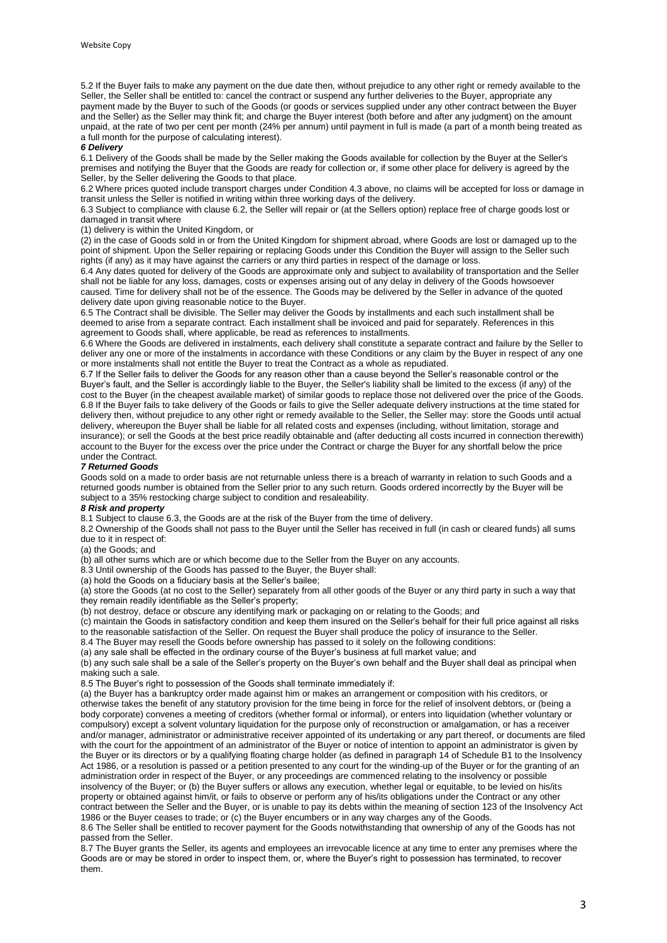5.2 If the Buyer fails to make any payment on the due date then, without prejudice to any other right or remedy available to the Seller, the Seller shall be entitled to: cancel the contract or suspend any further deliveries to the Buyer, appropriate any payment made by the Buyer to such of the Goods (or goods or services supplied under any other contract between the Buyer and the Seller) as the Seller may think fit; and charge the Buyer interest (both before and after any judgment) on the amount unpaid, at the rate of two per cent per month (24% per annum) until payment in full is made (a part of a month being treated as a full month for the purpose of calculating interest).

#### *6 Delivery*

6.1 Delivery of the Goods shall be made by the Seller making the Goods available for collection by the Buyer at the Seller's premises and notifying the Buyer that the Goods are ready for collection or, if some other place for delivery is agreed by the Seller, by the Seller delivering the Goods to that place.

6.2 Where prices quoted include transport charges under Condition 4.3 above, no claims will be accepted for loss or damage in transit unless the Seller is notified in writing within three working days of the delivery.

6.3 Subject to compliance with clause 6.2, the Seller will repair or (at the Sellers option) replace free of charge goods lost or damaged in transit where

#### (1) delivery is within the United Kingdom, or

(2) in the case of Goods sold in or from the United Kingdom for shipment abroad, where Goods are lost or damaged up to the point of shipment. Upon the Seller repairing or replacing Goods under this Condition the Buyer will assign to the Seller such rights (if any) as it may have against the carriers or any third parties in respect of the damage or loss.

6.4 Any dates quoted for delivery of the Goods are approximate only and subject to availability of transportation and the Seller shall not be liable for any loss, damages, costs or expenses arising out of any delay in delivery of the Goods howsoever caused. Time for delivery shall not be of the essence. The Goods may be delivered by the Seller in advance of the quoted delivery date upon giving reasonable notice to the Buyer.

6.5 The Contract shall be divisible. The Seller may deliver the Goods by installments and each such installment shall be deemed to arise from a separate contract. Each installment shall be invoiced and paid for separately. References in this agreement to Goods shall, where applicable, be read as references to installments.

6.6 Where the Goods are delivered in instalments, each delivery shall constitute a separate contract and failure by the Seller to deliver any one or more of the instalments in accordance with these Conditions or any claim by the Buyer in respect of any one or more instalments shall not entitle the Buyer to treat the Contract as a whole as repudiated.

6.7 If the Seller fails to deliver the Goods for any reason other than a cause beyond the Seller's reasonable control or the Buyer's fault, and the Seller is accordingly liable to the Buyer, the Seller's liability shall be limited to the excess (if any) of the cost to the Buyer (in the cheapest available market) of similar goods to replace those not delivered over the price of the Goods. 6.8 If the Buyer fails to take delivery of the Goods or fails to give the Seller adequate delivery instructions at the time stated for delivery then, without prejudice to any other right or remedy available to the Seller, the Seller may: store the Goods until actual delivery, whereupon the Buyer shall be liable for all related costs and expenses (including, without limitation, storage and insurance); or sell the Goods at the best price readily obtainable and (after deducting all costs incurred in connection therewith) account to the Buyer for the excess over the price under the Contract or charge the Buyer for any shortfall below the price under the Contract.

### *7 Returned Goods*

Goods sold on a made to order basis are not returnable unless there is a breach of warranty in relation to such Goods and a returned goods number is obtained from the Seller prior to any such return. Goods ordered incorrectly by the Buyer will be subject to a 35% restocking charge subject to condition and resaleability.

#### *8 Risk and property*

8.1 Subject to clause 6.3, the Goods are at the risk of the Buyer from the time of delivery.

8.2 Ownership of the Goods shall not pass to the Buyer until the Seller has received in full (in cash or cleared funds) all sums due to it in respect of:

(a) the Goods; and

(b) all other sums which are or which become due to the Seller from the Buyer on any accounts.

8.3 Until ownership of the Goods has passed to the Buyer, the Buyer shall:

(a) hold the Goods on a fiduciary basis at the Seller's bailee;

(a) store the Goods (at no cost to the Seller) separately from all other goods of the Buyer or any third party in such a way that they remain readily identifiable as the Seller's property;

(b) not destroy, deface or obscure any identifying mark or packaging on or relating to the Goods; and

(c) maintain the Goods in satisfactory condition and keep them insured on the Seller's behalf for their full price against all risks to the reasonable satisfaction of the Seller. On request the Buyer shall produce the policy of insurance to the Seller.

8.4 The Buyer may resell the Goods before ownership has passed to it solely on the following conditions:

(a) any sale shall be effected in the ordinary course of the Buyer's business at full market value; and

(b) any such sale shall be a sale of the Seller's property on the Buyer's own behalf and the Buyer shall deal as principal when making such a sale.

8.5 The Buyer's right to possession of the Goods shall terminate immediately if:

(a) the Buyer has a bankruptcy order made against him or makes an arrangement or composition with his creditors, or otherwise takes the benefit of any statutory provision for the time being in force for the relief of insolvent debtors, or (being a body corporate) convenes a meeting of creditors (whether formal or informal), or enters into liquidation (whether voluntary or compulsory) except a solvent voluntary liquidation for the purpose only of reconstruction or amalgamation, or has a receiver and/or manager, administrator or administrative receiver appointed of its undertaking or any part thereof, or documents are filed with the court for the appointment of an administrator of the Buyer or notice of intention to appoint an administrator is given by the Buyer or its directors or by a qualifying floating charge holder (as defined in paragraph 14 of Schedule B1 to the Insolvency Act 1986, or a resolution is passed or a petition presented to any court for the winding-up of the Buyer or for the granting of an administration order in respect of the Buyer, or any proceedings are commenced relating to the insolvency or possible insolvency of the Buyer; or (b) the Buyer suffers or allows any execution, whether legal or equitable, to be levied on his/its property or obtained against him/it, or fails to observe or perform any of his/its obligations under the Contract or any other contract between the Seller and the Buyer, or is unable to pay its debts within the meaning of section 123 of the Insolvency Act 1986 or the Buyer ceases to trade; or (c) the Buyer encumbers or in any way charges any of the Goods.

8.6 The Seller shall be entitled to recover payment for the Goods notwithstanding that ownership of any of the Goods has not passed from the Seller.

8.7 The Buyer grants the Seller, its agents and employees an irrevocable licence at any time to enter any premises where the Goods are or may be stored in order to inspect them, or, where the Buyer's right to possession has terminated, to recover them.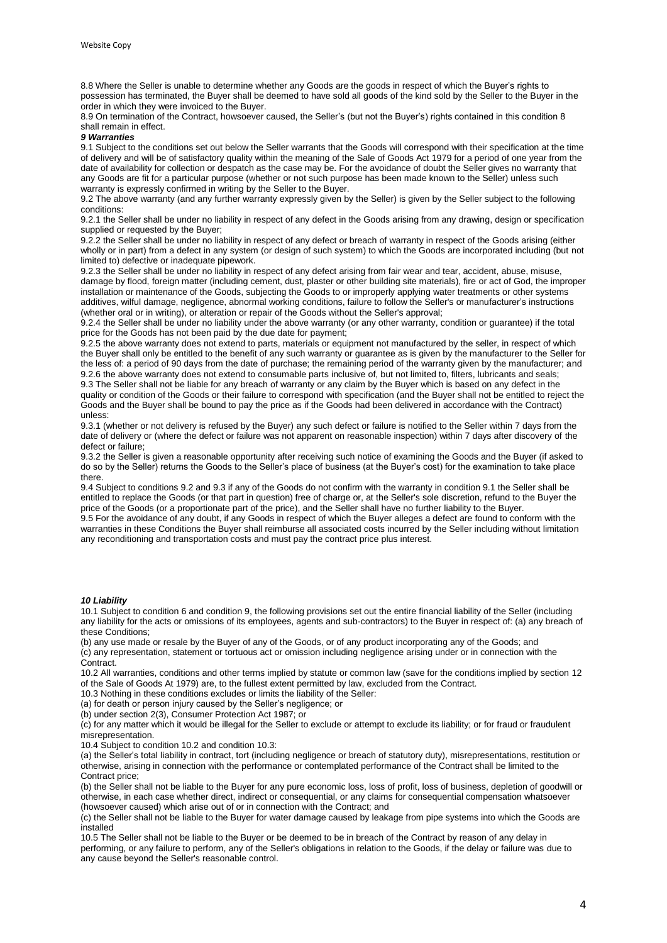8.8 Where the Seller is unable to determine whether any Goods are the goods in respect of which the Buyer's rights to possession has terminated, the Buyer shall be deemed to have sold all goods of the kind sold by the Seller to the Buyer in the order in which they were invoiced to the Buyer.

8.9 On termination of the Contract, howsoever caused, the Seller's (but not the Buyer's) rights contained in this condition 8 shall remain in effect.

### *9 Warranties*

9.1 Subject to the conditions set out below the Seller warrants that the Goods will correspond with their specification at the time of delivery and will be of satisfactory quality within the meaning of the Sale of Goods Act 1979 for a period of one year from the date of availability for collection or despatch as the case may be. For the avoidance of doubt the Seller gives no warranty that any Goods are fit for a particular purpose (whether or not such purpose has been made known to the Seller) unless such warranty is expressly confirmed in writing by the Seller to the Buyer.

9.2 The above warranty (and any further warranty expressly given by the Seller) is given by the Seller subject to the following conditions:

9.2.1 the Seller shall be under no liability in respect of any defect in the Goods arising from any drawing, design or specification supplied or requested by the Buyer;

9.2.2 the Seller shall be under no liability in respect of any defect or breach of warranty in respect of the Goods arising (either wholly or in part) from a defect in any system (or design of such system) to which the Goods are incorporated including (but not limited to) defective or inadequate pipework.

9.2.3 the Seller shall be under no liability in respect of any defect arising from fair wear and tear, accident, abuse, misuse, damage by flood, foreign matter (including cement, dust, plaster or other building site materials), fire or act of God, the improper installation or maintenance of the Goods, subjecting the Goods to or improperly applying water treatments or other systems additives, wilful damage, negligence, abnormal working conditions, failure to follow the Seller's or manufacturer's instructions (whether oral or in writing), or alteration or repair of the Goods without the Seller's approval;

9.2.4 the Seller shall be under no liability under the above warranty (or any other warranty, condition or guarantee) if the total price for the Goods has not been paid by the due date for payment;

9.2.5 the above warranty does not extend to parts, materials or equipment not manufactured by the seller, in respect of which the Buyer shall only be entitled to the benefit of any such warranty or guarantee as is given by the manufacturer to the Seller for the less of: a period of 90 days from the date of purchase; the remaining period of the warranty given by the manufacturer; and 9.2.6 the above warranty does not extend to consumable parts inclusive of, but not limited to, filters, lubricants and seals; 9.3 The Seller shall not be liable for any breach of warranty or any claim by the Buyer which is based on any defect in the quality or condition of the Goods or their failure to correspond with specification (and the Buyer shall not be entitled to reject the Goods and the Buyer shall be bound to pay the price as if the Goods had been delivered in accordance with the Contract)

unless: 9.3.1 (whether or not delivery is refused by the Buyer) any such defect or failure is notified to the Seller within 7 days from the date of delivery or (where the defect or failure was not apparent on reasonable inspection) within 7 days after discovery of the defect or failure;

9.3.2 the Seller is given a reasonable opportunity after receiving such notice of examining the Goods and the Buyer (if asked to do so by the Seller) returns the Goods to the Seller's place of business (at the Buyer's cost) for the examination to take place there.

9.4 Subject to conditions 9.2 and 9.3 if any of the Goods do not confirm with the warranty in condition 9.1 the Seller shall be entitled to replace the Goods (or that part in question) free of charge or, at the Seller's sole discretion, refund to the Buyer the price of the Goods (or a proportionate part of the price), and the Seller shall have no further liability to the Buyer. 9.5 For the avoidance of any doubt, if any Goods in respect of which the Buyer alleges a defect are found to conform with the

warranties in these Conditions the Buyer shall reimburse all associated costs incurred by the Seller including without limitation any reconditioning and transportation costs and must pay the contract price plus interest.

#### *10 Liability*

10.1 Subject to condition 6 and condition 9, the following provisions set out the entire financial liability of the Seller (including any liability for the acts or omissions of its employees, agents and sub-contractors) to the Buyer in respect of: (a) any breach of these Conditions;

(b) any use made or resale by the Buyer of any of the Goods, or of any product incorporating any of the Goods; and (c) any representation, statement or tortuous act or omission including negligence arising under or in connection with the Contract.

10.2 All warranties, conditions and other terms implied by statute or common law (save for the conditions implied by section 12 of the Sale of Goods At 1979) are, to the fullest extent permitted by law, excluded from the Contract.

10.3 Nothing in these conditions excludes or limits the liability of the Seller:

(a) for death or person injury caused by the Seller's negligence; or

(b) under section 2(3), Consumer Protection Act 1987; or

(c) for any matter which it would be illegal for the Seller to exclude or attempt to exclude its liability; or for fraud or fraudulent misrepresentation.

10.4 Subject to condition 10.2 and condition 10.3:

(a) the Seller's total liability in contract, tort (including negligence or breach of statutory duty), misrepresentations, restitution or otherwise, arising in connection with the performance or contemplated performance of the Contract shall be limited to the Contract price;

(b) the Seller shall not be liable to the Buyer for any pure economic loss, loss of profit, loss of business, depletion of goodwill or otherwise, in each case whether direct, indirect or consequential, or any claims for consequential compensation whatsoever (howsoever caused) which arise out of or in connection with the Contract; and

(c) the Seller shall not be liable to the Buyer for water damage caused by leakage from pipe systems into which the Goods are installed

10.5 The Seller shall not be liable to the Buyer or be deemed to be in breach of the Contract by reason of any delay in performing, or any failure to perform, any of the Seller's obligations in relation to the Goods, if the delay or failure was due to any cause beyond the Seller's reasonable control.